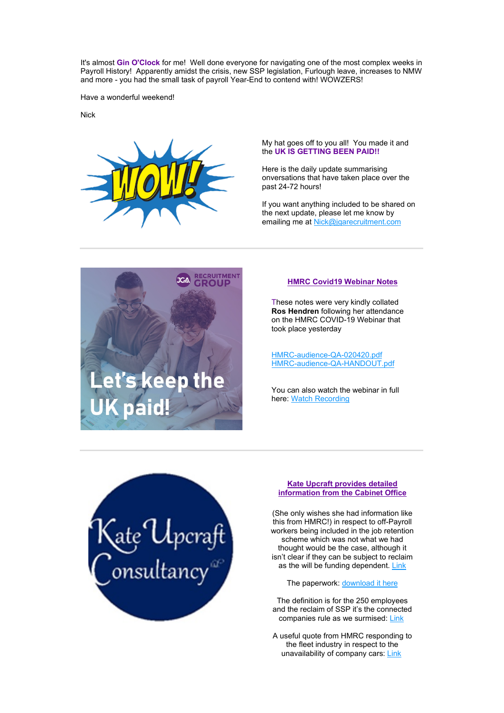It's almost **Gin O'Clock** for me! Well done everyone for navigating one of the most complex weeks in Payroll History! Apparently amidst the crisis, new SSP legislation, Furlough leave, increases to NMW and more - you had the small task of payroll Year-End to contend with! WOWZERS!

Have a wonderful weekend!

Nick



My hat goes off to you all! You made it and the **UK IS GETTING BEEN PAID!!**

Here is the daily update summarising onversations that have taken place over the past 24-72 hours!

If you want anything included to be shared on the next update, please let me know by emailing me at [Nick@jgarecruitment.com](mailto:nick@jgarecruitment.com)



## **HMRC Covid19 Webinar Notes**

These notes were very kindly collated **Ros Hendren** following her attendance on the HMRC COVID-19 Webinar that took place yesterday

[HMRC-audience-QA-020420.pdf](https://news.jgarecruitmentmail.com/8148045219037BB2B5300D653E32D3D949B1D321641C0426A306242D4035ECF1/ECFB74EA6EB182756BDD77C561823EE2/LE35) [HMRC-audience-QA-HANDOUT.pdf](https://news.jgarecruitmentmail.com/04A5A137E64942CF72C8394505A00CC2CD4233A3214BDEBFB12F13DE5545861F/ECFB74EA6EB182756BDD77C561823EE2/LE35)

You can also watch the webinar in full here: [Watch Recording](https://news.jgarecruitmentmail.com/FD19504B7ED529AC509631CBCBFE4820FEDF58C06DD5B1068C8DCE5009E85401/ECFB74EA6EB182756BDD77C561823EE2/LE35)



#### **Kate Upcraft provides detailed information from the Cabinet Office**

(She only wishes she had information like this from HMRC!) in respect to off-Payroll workers being included in the job retention scheme which was not what we had thought would be the case, although it isn't clear if they can be subject to reclaim as the will be funding dependent. [Link](https://news.jgarecruitmentmail.com/A5593983286F0EA96C12A1E2057E0D886C3801475E826209B9C552C485065ED8/ECFB74EA6EB182756BDD77C561823EE2/LE35)

The paperwork: [download it here](https://news.jgarecruitmentmail.com/28CC35B2471C8C2C0510D02F1FAAF74052B629C15BAFED5DDEAF9BE43621784D/ECFB74EA6EB182756BDD77C561823EE2/LE35)

The definition is for the 250 employees and the reclaim of SSP it's the connected companies rule as we surmised[: Link](https://news.jgarecruitmentmail.com/608CF640E73D0169479F3157A66F49A4031FE7DDE668CA9E7750283166C0C0D9/ECFB74EA6EB182756BDD77C561823EE2/LE35)

A useful quote from HMRC responding to the fleet industry in respect to the unavailability of company cars[: Link](https://news.jgarecruitmentmail.com/5EE8AF799FE892FE4307DFEC36323EAA55F70B6185574E10E92E67182268F541/ECFB74EA6EB182756BDD77C561823EE2/LE35)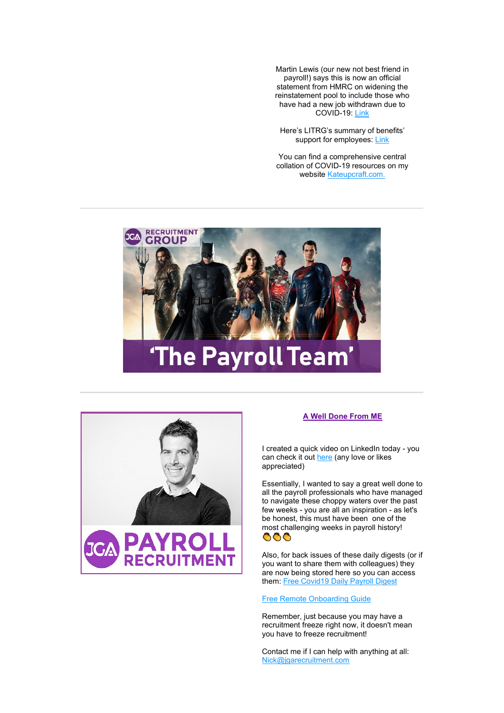Martin Lewis (our new not best friend in payroll!) says this is now an official statement from HMRC on widening the reinstatement pool to include those who have had a new job withdrawn due to COVID-19: [Link](https://news.jgarecruitmentmail.com/395AC097DFD046CAB38BED3887D09F1AF297DD3526891EC8E4C5ECB8BB82C520/ECFB74EA6EB182756BDD77C561823EE2/LE35)

Here's LITRG's summary of benefits' support for employees: [Link](https://news.jgarecruitmentmail.com/A5D7BD3193630FFAA0E6FA1140F259D9EB27C00050C3AC51C8FA51CD9D8D0F37/ECFB74EA6EB182756BDD77C561823EE2/LE35)

You can find a comprehensive central collation of COVID-19 resources on my website [Kateupcraft.com.](https://news.jgarecruitmentmail.com/398EB4A08F79AD509B5C2899A0DD7FF45CBEAA93E4DF9F07CF33C4698AE21377/ECFB74EA6EB182756BDD77C561823EE2/LE35)





## **A Well Done From ME**

I created a quick video on LinkedIn today - you can check it ou[t here](https://news.jgarecruitmentmail.com/CB546944067C271EC1DAC3F569924A970FA26760CF25EDA223DFDA5528DBA713/ECFB74EA6EB182756BDD77C561823EE2/LE35) (any love or likes appreciated)

Essentially, I wanted to say a great well done to all the payroll professionals who have managed to navigate these choppy waters over the past few weeks - you are all an inspiration - as let's be honest, this must have been one of the most challenging weeks in payroll history! ������������

Also, for back issues of these daily digests (or if you want to share them with colleagues) they are now being stored here so you can access them: [Free Covid19 Daily Payroll Digest](https://news.jgarecruitmentmail.com/6C7677BC926190C86E495338504E120C297590B037D43545264E0AC58D67FD70/ECFB74EA6EB182756BDD77C561823EE2/LE35)

[Free Remote Onboarding Guide](https://news.jgarecruitmentmail.com/8D5A7C64C8AF1E16354FEB5EC5C93664099588E3688EB9DE7207688FD9FD2015/ECFB74EA6EB182756BDD77C561823EE2/LE35)

Remember, just because you may have a recruitment freeze right now, it doesn't mean you have to freeze recruitment!

Contact me if I can help with anything at all: [Nick@jgarecruitment.com](mailto:nick@jgarecruitment.com)